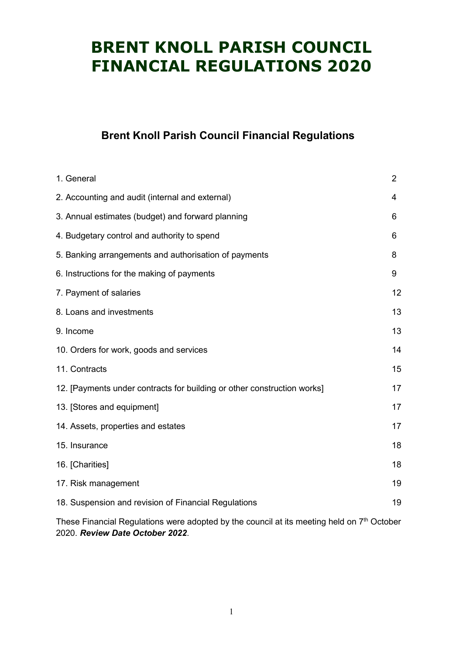### Brent Knoll Parish Council Financial Regulations

| 1. General                                                              | $\overline{2}$ |
|-------------------------------------------------------------------------|----------------|
| 2. Accounting and audit (internal and external)                         | 4              |
| 3. Annual estimates (budget) and forward planning                       | 6              |
| 4. Budgetary control and authority to spend                             | 6              |
| 5. Banking arrangements and authorisation of payments                   | 8              |
| 6. Instructions for the making of payments                              | 9              |
| 7. Payment of salaries                                                  | 12             |
| 8. Loans and investments                                                | 13             |
| 9. Income                                                               | 13             |
| 10. Orders for work, goods and services                                 | 14             |
| 11. Contracts                                                           | 15             |
| 12. [Payments under contracts for building or other construction works] | 17             |
| 13. [Stores and equipment]                                              | 17             |
| 14. Assets, properties and estates                                      | 17             |
| 15. Insurance                                                           | 18             |
| 16. [Charities]                                                         | 18             |
| 17. Risk management                                                     | 19             |
| 18. Suspension and revision of Financial Regulations                    | 19             |

These Financial Regulations were adopted by the council at its meeting held on 7<sup>th</sup> October 2020. Review Date October 2022.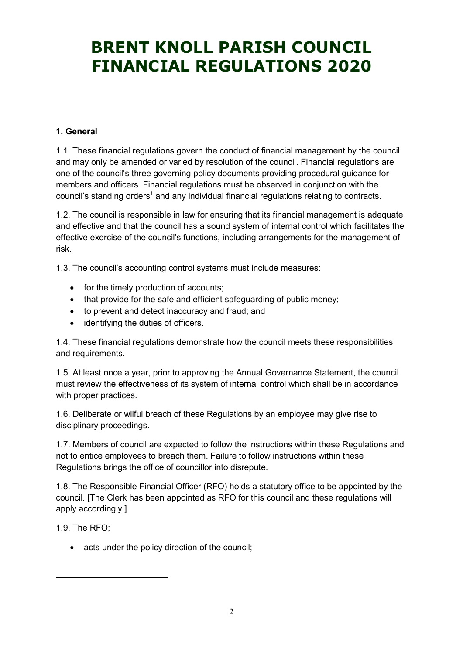#### 1. General

1.1. These financial regulations govern the conduct of financial management by the council and may only be amended or varied by resolution of the council. Financial regulations are one of the council's three governing policy documents providing procedural guidance for members and officers. Financial regulations must be observed in conjunction with the council's standing orders<sup>1</sup> and any individual financial regulations relating to contracts.

1.2. The council is responsible in law for ensuring that its financial management is adequate and effective and that the council has a sound system of internal control which facilitates the effective exercise of the council's functions, including arrangements for the management of risk.

1.3. The council's accounting control systems must include measures:

- for the timely production of accounts;
- that provide for the safe and efficient safeguarding of public money;
- to prevent and detect inaccuracy and fraud; and
- identifying the duties of officers.

1.4. These financial regulations demonstrate how the council meets these responsibilities and requirements.

1.5. At least once a year, prior to approving the Annual Governance Statement, the council must review the effectiveness of its system of internal control which shall be in accordance with proper practices.

1.6. Deliberate or wilful breach of these Regulations by an employee may give rise to disciplinary proceedings.

1.7. Members of council are expected to follow the instructions within these Regulations and not to entice employees to breach them. Failure to follow instructions within these Regulations brings the office of councillor into disrepute.

1.8. The Responsible Financial Officer (RFO) holds a statutory office to be appointed by the council. [The Clerk has been appointed as RFO for this council and these regulations will apply accordingly.]

1.9. The RFO;

<u>.</u>

• acts under the policy direction of the council;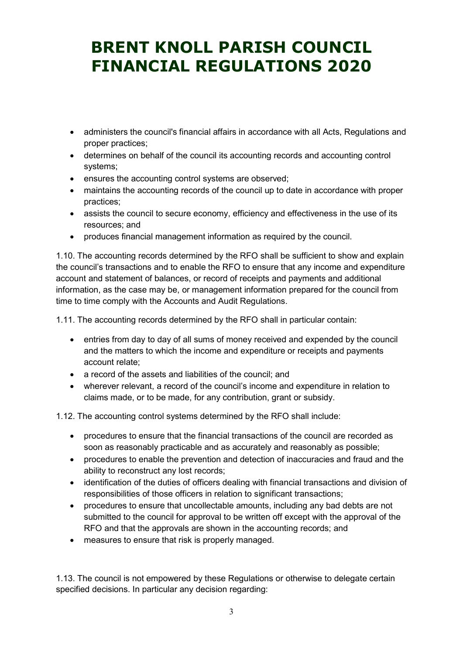- administers the council's financial affairs in accordance with all Acts, Regulations and proper practices;
- determines on behalf of the council its accounting records and accounting control systems;
- ensures the accounting control systems are observed;
- maintains the accounting records of the council up to date in accordance with proper practices;
- assists the council to secure economy, efficiency and effectiveness in the use of its resources; and
- produces financial management information as required by the council.

1.10. The accounting records determined by the RFO shall be sufficient to show and explain the council's transactions and to enable the RFO to ensure that any income and expenditure account and statement of balances, or record of receipts and payments and additional information, as the case may be, or management information prepared for the council from time to time comply with the Accounts and Audit Regulations.

1.11. The accounting records determined by the RFO shall in particular contain:

- entries from day to day of all sums of money received and expended by the council and the matters to which the income and expenditure or receipts and payments account relate;
- a record of the assets and liabilities of the council; and
- wherever relevant, a record of the council's income and expenditure in relation to claims made, or to be made, for any contribution, grant or subsidy.

1.12. The accounting control systems determined by the RFO shall include:

- procedures to ensure that the financial transactions of the council are recorded as soon as reasonably practicable and as accurately and reasonably as possible;
- procedures to enable the prevention and detection of inaccuracies and fraud and the ability to reconstruct any lost records;
- identification of the duties of officers dealing with financial transactions and division of responsibilities of those officers in relation to significant transactions;
- procedures to ensure that uncollectable amounts, including any bad debts are not submitted to the council for approval to be written off except with the approval of the RFO and that the approvals are shown in the accounting records; and
- measures to ensure that risk is properly managed.

1.13. The council is not empowered by these Regulations or otherwise to delegate certain specified decisions. In particular any decision regarding: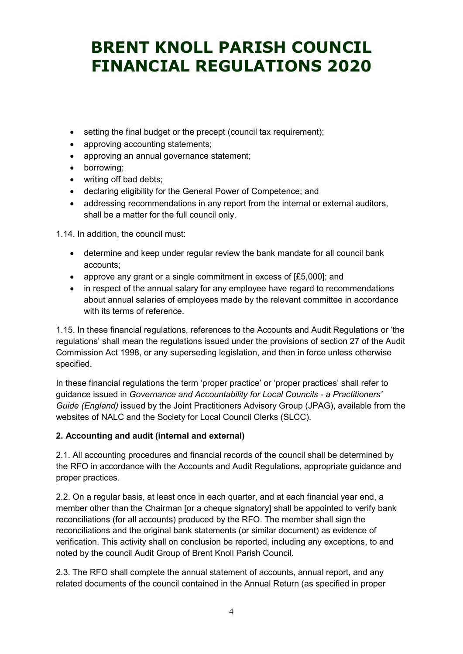- setting the final budget or the precept (council tax requirement);
- approving accounting statements:
- approving an annual governance statement;
- borrowing;
- writing off bad debts;
- declaring eligibility for the General Power of Competence; and
- addressing recommendations in any report from the internal or external auditors, shall be a matter for the full council only.

1.14. In addition, the council must:

- determine and keep under regular review the bank mandate for all council bank accounts;
- approve any grant or a single commitment in excess of [£5,000]; and
- in respect of the annual salary for any employee have regard to recommendations about annual salaries of employees made by the relevant committee in accordance with its terms of reference

1.15. In these financial regulations, references to the Accounts and Audit Regulations or 'the regulations' shall mean the regulations issued under the provisions of section 27 of the Audit Commission Act 1998, or any superseding legislation, and then in force unless otherwise specified.

In these financial regulations the term 'proper practice' or 'proper practices' shall refer to guidance issued in Governance and Accountability for Local Councils - a Practitioners' Guide (England) issued by the Joint Practitioners Advisory Group (JPAG), available from the websites of NALC and the Society for Local Council Clerks (SLCC).

### 2. Accounting and audit (internal and external)

2.1. All accounting procedures and financial records of the council shall be determined by the RFO in accordance with the Accounts and Audit Regulations, appropriate guidance and proper practices.

2.2. On a regular basis, at least once in each quarter, and at each financial year end, a member other than the Chairman [or a cheque signatory] shall be appointed to verify bank reconciliations (for all accounts) produced by the RFO. The member shall sign the reconciliations and the original bank statements (or similar document) as evidence of verification. This activity shall on conclusion be reported, including any exceptions, to and noted by the council Audit Group of Brent Knoll Parish Council.

2.3. The RFO shall complete the annual statement of accounts, annual report, and any related documents of the council contained in the Annual Return (as specified in proper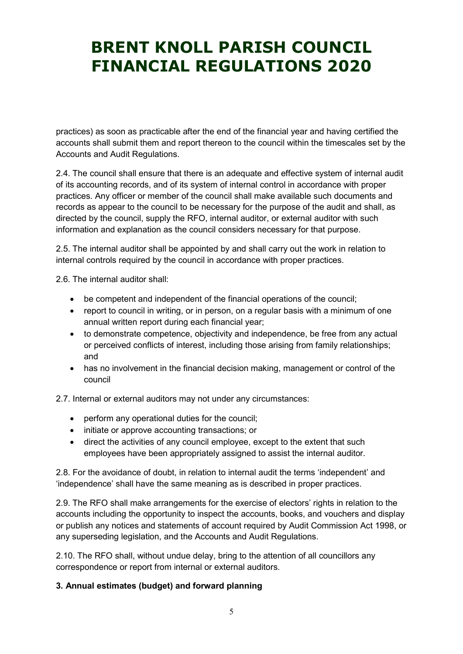practices) as soon as practicable after the end of the financial year and having certified the accounts shall submit them and report thereon to the council within the timescales set by the Accounts and Audit Regulations.

2.4. The council shall ensure that there is an adequate and effective system of internal audit of its accounting records, and of its system of internal control in accordance with proper practices. Any officer or member of the council shall make available such documents and records as appear to the council to be necessary for the purpose of the audit and shall, as directed by the council, supply the RFO, internal auditor, or external auditor with such information and explanation as the council considers necessary for that purpose.

2.5. The internal auditor shall be appointed by and shall carry out the work in relation to internal controls required by the council in accordance with proper practices.

2.6. The internal auditor shall:

- be competent and independent of the financial operations of the council;
- report to council in writing, or in person, on a regular basis with a minimum of one annual written report during each financial year;
- to demonstrate competence, objectivity and independence, be free from any actual or perceived conflicts of interest, including those arising from family relationships; and
- has no involvement in the financial decision making, management or control of the council

2.7. Internal or external auditors may not under any circumstances:

- perform any operational duties for the council;
- initiate or approve accounting transactions; or
- direct the activities of any council employee, except to the extent that such employees have been appropriately assigned to assist the internal auditor.

2.8. For the avoidance of doubt, in relation to internal audit the terms 'independent' and 'independence' shall have the same meaning as is described in proper practices.

2.9. The RFO shall make arrangements for the exercise of electors' rights in relation to the accounts including the opportunity to inspect the accounts, books, and vouchers and display or publish any notices and statements of account required by Audit Commission Act 1998, or any superseding legislation, and the Accounts and Audit Regulations.

2.10. The RFO shall, without undue delay, bring to the attention of all councillors any correspondence or report from internal or external auditors.

#### 3. Annual estimates (budget) and forward planning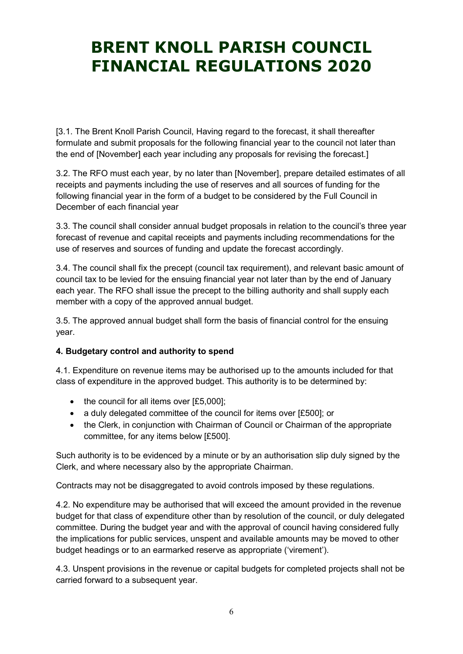[3.1. The Brent Knoll Parish Council, Having regard to the forecast, it shall thereafter formulate and submit proposals for the following financial year to the council not later than the end of [November] each year including any proposals for revising the forecast.]

3.2. The RFO must each year, by no later than [November], prepare detailed estimates of all receipts and payments including the use of reserves and all sources of funding for the following financial year in the form of a budget to be considered by the Full Council in December of each financial year

3.3. The council shall consider annual budget proposals in relation to the council's three year forecast of revenue and capital receipts and payments including recommendations for the use of reserves and sources of funding and update the forecast accordingly.

3.4. The council shall fix the precept (council tax requirement), and relevant basic amount of council tax to be levied for the ensuing financial year not later than by the end of January each year. The RFO shall issue the precept to the billing authority and shall supply each member with a copy of the approved annual budget.

3.5. The approved annual budget shall form the basis of financial control for the ensuing year.

### 4. Budgetary control and authority to spend

4.1. Expenditure on revenue items may be authorised up to the amounts included for that class of expenditure in the approved budget. This authority is to be determined by:

- $\bullet$  the council for all items over [£5,000];
- a duly delegated committee of the council for items over [£500]; or
- the Clerk, in conjunction with Chairman of Council or Chairman of the appropriate committee, for any items below [£500].

Such authority is to be evidenced by a minute or by an authorisation slip duly signed by the Clerk, and where necessary also by the appropriate Chairman.

Contracts may not be disaggregated to avoid controls imposed by these regulations.

4.2. No expenditure may be authorised that will exceed the amount provided in the revenue budget for that class of expenditure other than by resolution of the council, or duly delegated committee. During the budget year and with the approval of council having considered fully the implications for public services, unspent and available amounts may be moved to other budget headings or to an earmarked reserve as appropriate ('virement').

4.3. Unspent provisions in the revenue or capital budgets for completed projects shall not be carried forward to a subsequent year.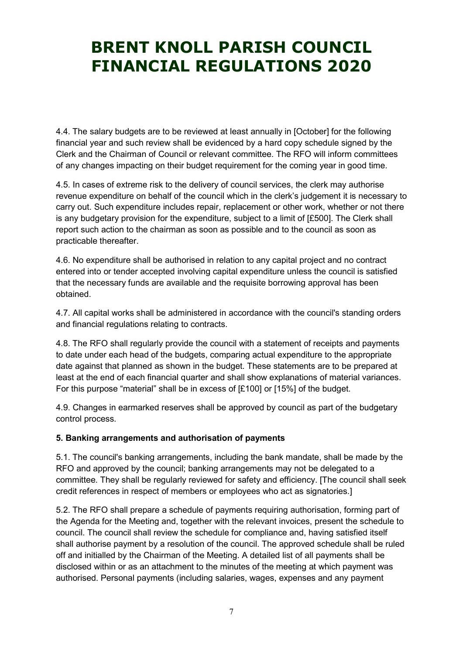4.4. The salary budgets are to be reviewed at least annually in [October] for the following financial year and such review shall be evidenced by a hard copy schedule signed by the Clerk and the Chairman of Council or relevant committee. The RFO will inform committees of any changes impacting on their budget requirement for the coming year in good time.

4.5. In cases of extreme risk to the delivery of council services, the clerk may authorise revenue expenditure on behalf of the council which in the clerk's judgement it is necessary to carry out. Such expenditure includes repair, replacement or other work, whether or not there is any budgetary provision for the expenditure, subject to a limit of [£500]. The Clerk shall report such action to the chairman as soon as possible and to the council as soon as practicable thereafter.

4.6. No expenditure shall be authorised in relation to any capital project and no contract entered into or tender accepted involving capital expenditure unless the council is satisfied that the necessary funds are available and the requisite borrowing approval has been obtained.

4.7. All capital works shall be administered in accordance with the council's standing orders and financial regulations relating to contracts.

4.8. The RFO shall regularly provide the council with a statement of receipts and payments to date under each head of the budgets, comparing actual expenditure to the appropriate date against that planned as shown in the budget. These statements are to be prepared at least at the end of each financial quarter and shall show explanations of material variances. For this purpose "material" shall be in excess of [£100] or [15%] of the budget.

4.9. Changes in earmarked reserves shall be approved by council as part of the budgetary control process.

#### 5. Banking arrangements and authorisation of payments

5.1. The council's banking arrangements, including the bank mandate, shall be made by the RFO and approved by the council; banking arrangements may not be delegated to a committee. They shall be regularly reviewed for safety and efficiency. [The council shall seek credit references in respect of members or employees who act as signatories.]

5.2. The RFO shall prepare a schedule of payments requiring authorisation, forming part of the Agenda for the Meeting and, together with the relevant invoices, present the schedule to council. The council shall review the schedule for compliance and, having satisfied itself shall authorise payment by a resolution of the council. The approved schedule shall be ruled off and initialled by the Chairman of the Meeting. A detailed list of all payments shall be disclosed within or as an attachment to the minutes of the meeting at which payment was authorised. Personal payments (including salaries, wages, expenses and any payment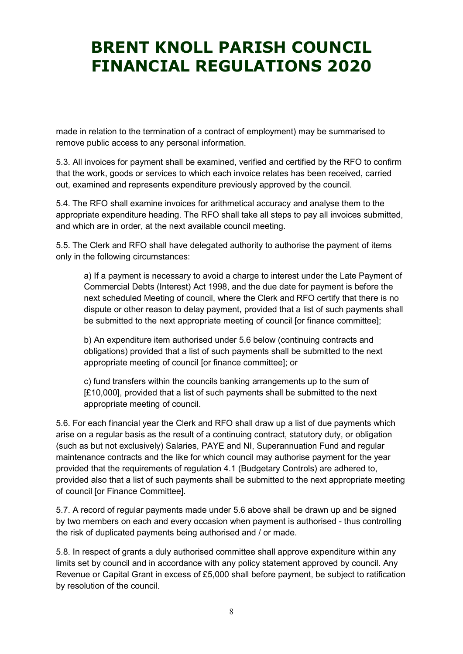made in relation to the termination of a contract of employment) may be summarised to remove public access to any personal information.

5.3. All invoices for payment shall be examined, verified and certified by the RFO to confirm that the work, goods or services to which each invoice relates has been received, carried out, examined and represents expenditure previously approved by the council.

5.4. The RFO shall examine invoices for arithmetical accuracy and analyse them to the appropriate expenditure heading. The RFO shall take all steps to pay all invoices submitted, and which are in order, at the next available council meeting.

5.5. The Clerk and RFO shall have delegated authority to authorise the payment of items only in the following circumstances:

a) If a payment is necessary to avoid a charge to interest under the Late Payment of Commercial Debts (Interest) Act 1998, and the due date for payment is before the next scheduled Meeting of council, where the Clerk and RFO certify that there is no dispute or other reason to delay payment, provided that a list of such payments shall be submitted to the next appropriate meeting of council [or finance committee];

b) An expenditure item authorised under 5.6 below (continuing contracts and obligations) provided that a list of such payments shall be submitted to the next appropriate meeting of council [or finance committee]; or

c) fund transfers within the councils banking arrangements up to the sum of [£10,000], provided that a list of such payments shall be submitted to the next appropriate meeting of council.

5.6. For each financial year the Clerk and RFO shall draw up a list of due payments which arise on a regular basis as the result of a continuing contract, statutory duty, or obligation (such as but not exclusively) Salaries, PAYE and NI, Superannuation Fund and regular maintenance contracts and the like for which council may authorise payment for the year provided that the requirements of regulation 4.1 (Budgetary Controls) are adhered to, provided also that a list of such payments shall be submitted to the next appropriate meeting of council [or Finance Committee].

5.7. A record of regular payments made under 5.6 above shall be drawn up and be signed by two members on each and every occasion when payment is authorised - thus controlling the risk of duplicated payments being authorised and / or made.

5.8. In respect of grants a duly authorised committee shall approve expenditure within any limits set by council and in accordance with any policy statement approved by council. Any Revenue or Capital Grant in excess of £5,000 shall before payment, be subject to ratification by resolution of the council.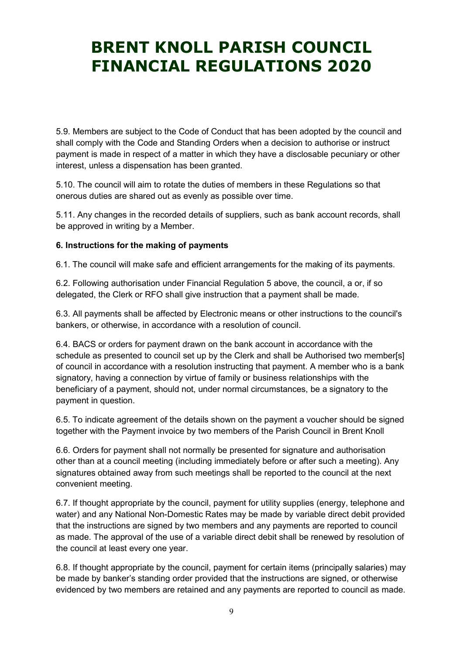5.9. Members are subject to the Code of Conduct that has been adopted by the council and shall comply with the Code and Standing Orders when a decision to authorise or instruct payment is made in respect of a matter in which they have a disclosable pecuniary or other interest, unless a dispensation has been granted.

5.10. The council will aim to rotate the duties of members in these Regulations so that onerous duties are shared out as evenly as possible over time.

5.11. Any changes in the recorded details of suppliers, such as bank account records, shall be approved in writing by a Member.

#### 6. Instructions for the making of payments

6.1. The council will make safe and efficient arrangements for the making of its payments.

6.2. Following authorisation under Financial Regulation 5 above, the council, a or, if so delegated, the Clerk or RFO shall give instruction that a payment shall be made.

6.3. All payments shall be affected by Electronic means or other instructions to the council's bankers, or otherwise, in accordance with a resolution of council.

6.4. BACS or orders for payment drawn on the bank account in accordance with the schedule as presented to council set up by the Clerk and shall be Authorised two member[s] of council in accordance with a resolution instructing that payment. A member who is a bank signatory, having a connection by virtue of family or business relationships with the beneficiary of a payment, should not, under normal circumstances, be a signatory to the payment in question.

6.5. To indicate agreement of the details shown on the payment a voucher should be signed together with the Payment invoice by two members of the Parish Council in Brent Knoll

6.6. Orders for payment shall not normally be presented for signature and authorisation other than at a council meeting (including immediately before or after such a meeting). Any signatures obtained away from such meetings shall be reported to the council at the next convenient meeting.

6.7. If thought appropriate by the council, payment for utility supplies (energy, telephone and water) and any National Non-Domestic Rates may be made by variable direct debit provided that the instructions are signed by two members and any payments are reported to council as made. The approval of the use of a variable direct debit shall be renewed by resolution of the council at least every one year.

6.8. If thought appropriate by the council, payment for certain items (principally salaries) may be made by banker's standing order provided that the instructions are signed, or otherwise evidenced by two members are retained and any payments are reported to council as made.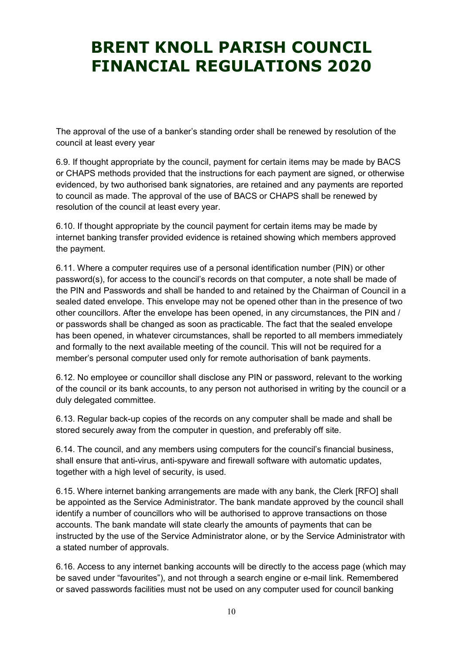The approval of the use of a banker's standing order shall be renewed by resolution of the council at least every year

6.9. If thought appropriate by the council, payment for certain items may be made by BACS or CHAPS methods provided that the instructions for each payment are signed, or otherwise evidenced, by two authorised bank signatories, are retained and any payments are reported to council as made. The approval of the use of BACS or CHAPS shall be renewed by resolution of the council at least every year.

6.10. If thought appropriate by the council payment for certain items may be made by internet banking transfer provided evidence is retained showing which members approved the payment.

6.11. Where a computer requires use of a personal identification number (PIN) or other password(s), for access to the council's records on that computer, a note shall be made of the PIN and Passwords and shall be handed to and retained by the Chairman of Council in a sealed dated envelope. This envelope may not be opened other than in the presence of two other councillors. After the envelope has been opened, in any circumstances, the PIN and / or passwords shall be changed as soon as practicable. The fact that the sealed envelope has been opened, in whatever circumstances, shall be reported to all members immediately and formally to the next available meeting of the council. This will not be required for a member's personal computer used only for remote authorisation of bank payments.

6.12. No employee or councillor shall disclose any PIN or password, relevant to the working of the council or its bank accounts, to any person not authorised in writing by the council or a duly delegated committee.

6.13. Regular back-up copies of the records on any computer shall be made and shall be stored securely away from the computer in question, and preferably off site.

6.14. The council, and any members using computers for the council's financial business, shall ensure that anti-virus, anti-spyware and firewall software with automatic updates, together with a high level of security, is used.

6.15. Where internet banking arrangements are made with any bank, the Clerk [RFO] shall be appointed as the Service Administrator. The bank mandate approved by the council shall identify a number of councillors who will be authorised to approve transactions on those accounts. The bank mandate will state clearly the amounts of payments that can be instructed by the use of the Service Administrator alone, or by the Service Administrator with a stated number of approvals.

6.16. Access to any internet banking accounts will be directly to the access page (which may be saved under "favourites"), and not through a search engine or e-mail link. Remembered or saved passwords facilities must not be used on any computer used for council banking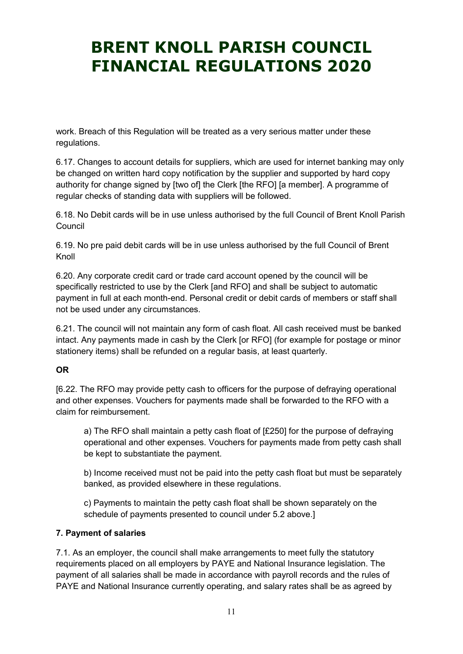work. Breach of this Regulation will be treated as a very serious matter under these regulations.

6.17. Changes to account details for suppliers, which are used for internet banking may only be changed on written hard copy notification by the supplier and supported by hard copy authority for change signed by [two of] the Clerk [the RFO] [a member]. A programme of regular checks of standing data with suppliers will be followed.

6.18. No Debit cards will be in use unless authorised by the full Council of Brent Knoll Parish **Council** 

6.19. No pre paid debit cards will be in use unless authorised by the full Council of Brent Knoll

6.20. Any corporate credit card or trade card account opened by the council will be specifically restricted to use by the Clerk [and RFO] and shall be subject to automatic payment in full at each month-end. Personal credit or debit cards of members or staff shall not be used under any circumstances.

6.21. The council will not maintain any form of cash float. All cash received must be banked intact. Any payments made in cash by the Clerk [or RFO] (for example for postage or minor stationery items) shall be refunded on a regular basis, at least quarterly.

#### OR

[6.22. The RFO may provide petty cash to officers for the purpose of defraying operational and other expenses. Vouchers for payments made shall be forwarded to the RFO with a claim for reimbursement.

a) The RFO shall maintain a petty cash float of [£250] for the purpose of defraying operational and other expenses. Vouchers for payments made from petty cash shall be kept to substantiate the payment.

b) Income received must not be paid into the petty cash float but must be separately banked, as provided elsewhere in these regulations.

c) Payments to maintain the petty cash float shall be shown separately on the schedule of payments presented to council under 5.2 above.]

#### 7. Payment of salaries

7.1. As an employer, the council shall make arrangements to meet fully the statutory requirements placed on all employers by PAYE and National Insurance legislation. The payment of all salaries shall be made in accordance with payroll records and the rules of PAYE and National Insurance currently operating, and salary rates shall be as agreed by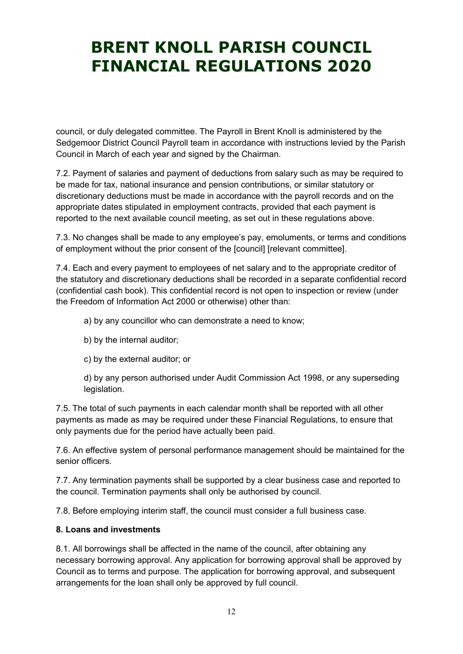council, or duly delegated committee. The Payroll in Brent Knoll is administered by the Sedgemoor District Council Payroll team in accordance with instructions levied by the Parish Council in March of each year and signed by the Chairman.

7.2. Payment of salaries and payment of deductions from salary such as may be required to be made for tax, national insurance and pension contributions, or similar statutory or discretionary deductions must be made in accordance with the payroll records and on the appropriate dates stipulated in employment contracts, provided that each payment is reported to the next available council meeting, as set out in these regulations above.

7.3. No changes shall be made to any employee's pay, emoluments, or terms and conditions of employment without the prior consent of the [council] [relevant committee].

7.4. Each and every payment to employees of net salary and to the appropriate creditor of the statutory and discretionary deductions shall be recorded in a separate confidential record (confidential cash book). This confidential record is not open to inspection or review (under the Freedom of Information Act 2000 or otherwise) other than:

- a) by any councillor who can demonstrate a need to know;
- b) by the internal auditor;
- c) by the external auditor; or

d) by any person authorised under Audit Commission Act 1998, or any superseding legislation.

7.5. The total of such payments in each calendar month shall be reported with all other payments as made as may be required under these Financial Regulations, to ensure that only payments due for the period have actually been paid.

7.6. An effective system of personal performance management should be maintained for the senior officers.

7.7. Any termination payments shall be supported by a clear business case and reported to the council. Termination payments shall only be authorised by council.

7.8. Before employing interim staff, the council must consider a full business case.

#### 8. Loans and investments

8.1. All borrowings shall be affected in the name of the council, after obtaining any necessary borrowing approval. Any application for borrowing approval shall be approved by Council as to terms and purpose. The application for borrowing approval, and subsequent arrangements for the loan shall only be approved by full council.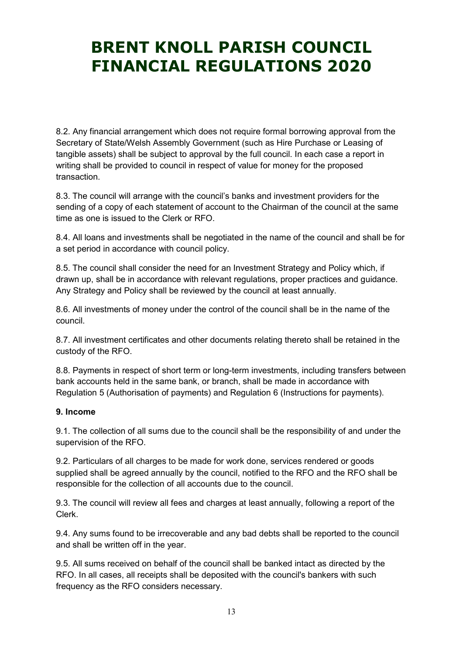8.2. Any financial arrangement which does not require formal borrowing approval from the Secretary of State/Welsh Assembly Government (such as Hire Purchase or Leasing of tangible assets) shall be subject to approval by the full council. In each case a report in writing shall be provided to council in respect of value for money for the proposed transaction.

8.3. The council will arrange with the council's banks and investment providers for the sending of a copy of each statement of account to the Chairman of the council at the same time as one is issued to the Clerk or RFO.

8.4. All loans and investments shall be negotiated in the name of the council and shall be for a set period in accordance with council policy.

8.5. The council shall consider the need for an Investment Strategy and Policy which, if drawn up, shall be in accordance with relevant regulations, proper practices and guidance. Any Strategy and Policy shall be reviewed by the council at least annually.

8.6. All investments of money under the control of the council shall be in the name of the council.

8.7. All investment certificates and other documents relating thereto shall be retained in the custody of the RFO.

8.8. Payments in respect of short term or long-term investments, including transfers between bank accounts held in the same bank, or branch, shall be made in accordance with Regulation 5 (Authorisation of payments) and Regulation 6 (Instructions for payments).

#### 9. Income

9.1. The collection of all sums due to the council shall be the responsibility of and under the supervision of the RFO.

9.2. Particulars of all charges to be made for work done, services rendered or goods supplied shall be agreed annually by the council, notified to the RFO and the RFO shall be responsible for the collection of all accounts due to the council.

9.3. The council will review all fees and charges at least annually, following a report of the Clerk.

9.4. Any sums found to be irrecoverable and any bad debts shall be reported to the council and shall be written off in the year.

9.5. All sums received on behalf of the council shall be banked intact as directed by the RFO. In all cases, all receipts shall be deposited with the council's bankers with such frequency as the RFO considers necessary.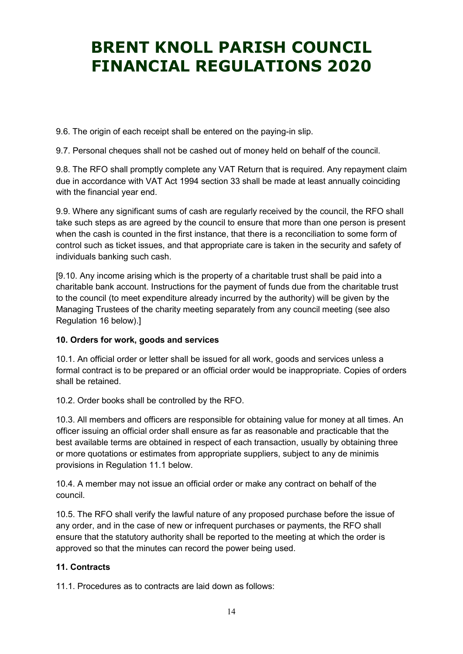9.6. The origin of each receipt shall be entered on the paying-in slip.

9.7. Personal cheques shall not be cashed out of money held on behalf of the council.

9.8. The RFO shall promptly complete any VAT Return that is required. Any repayment claim due in accordance with VAT Act 1994 section 33 shall be made at least annually coinciding with the financial year end.

9.9. Where any significant sums of cash are regularly received by the council, the RFO shall take such steps as are agreed by the council to ensure that more than one person is present when the cash is counted in the first instance, that there is a reconciliation to some form of control such as ticket issues, and that appropriate care is taken in the security and safety of individuals banking such cash.

[9.10. Any income arising which is the property of a charitable trust shall be paid into a charitable bank account. Instructions for the payment of funds due from the charitable trust to the council (to meet expenditure already incurred by the authority) will be given by the Managing Trustees of the charity meeting separately from any council meeting (see also Regulation 16 below).]

#### 10. Orders for work, goods and services

10.1. An official order or letter shall be issued for all work, goods and services unless a formal contract is to be prepared or an official order would be inappropriate. Copies of orders shall be retained.

10.2. Order books shall be controlled by the RFO.

10.3. All members and officers are responsible for obtaining value for money at all times. An officer issuing an official order shall ensure as far as reasonable and practicable that the best available terms are obtained in respect of each transaction, usually by obtaining three or more quotations or estimates from appropriate suppliers, subject to any de minimis provisions in Regulation 11.1 below.

10.4. A member may not issue an official order or make any contract on behalf of the council.

10.5. The RFO shall verify the lawful nature of any proposed purchase before the issue of any order, and in the case of new or infrequent purchases or payments, the RFO shall ensure that the statutory authority shall be reported to the meeting at which the order is approved so that the minutes can record the power being used.

#### 11. Contracts

11.1. Procedures as to contracts are laid down as follows: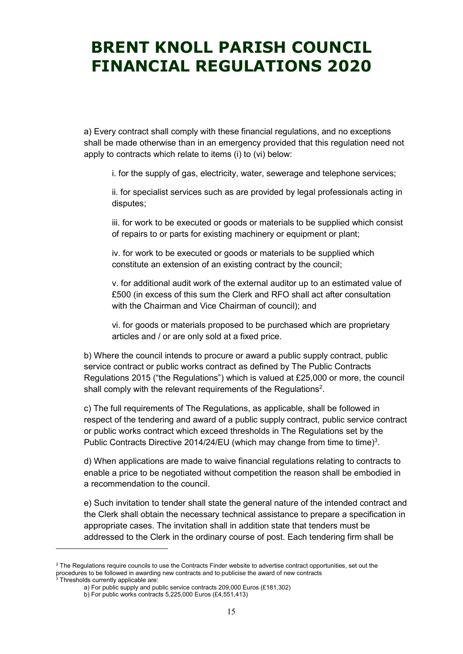a) Every contract shall comply with these financial regulations, and no exceptions shall be made otherwise than in an emergency provided that this regulation need not apply to contracts which relate to items (i) to (vi) below:

i. for the supply of gas, electricity, water, sewerage and telephone services;

ii. for specialist services such as are provided by legal professionals acting in disputes;

iii. for work to be executed or goods or materials to be supplied which consist of repairs to or parts for existing machinery or equipment or plant;

iv. for work to be executed or goods or materials to be supplied which constitute an extension of an existing contract by the council;

v. for additional audit work of the external auditor up to an estimated value of £500 (in excess of this sum the Clerk and RFO shall act after consultation with the Chairman and Vice Chairman of council); and

vi. for goods or materials proposed to be purchased which are proprietary articles and / or are only sold at a fixed price.

b) Where the council intends to procure or award a public supply contract, public service contract or public works contract as defined by The Public Contracts Regulations 2015 ("the Regulations") which is valued at £25,000 or more, the council shall comply with the relevant requirements of the Regulations<sup>2</sup>.

c) The full requirements of The Regulations, as applicable, shall be followed in respect of the tendering and award of a public supply contract, public service contract or public works contract which exceed thresholds in The Regulations set by the Public Contracts Directive 2014/24/EU (which may change from time to time)<sup>3</sup>.

d) When applications are made to waive financial regulations relating to contracts to enable a price to be negotiated without competition the reason shall be embodied in a recommendation to the council.

e) Such invitation to tender shall state the general nature of the intended contract and the Clerk shall obtain the necessary technical assistance to prepare a specification in appropriate cases. The invitation shall in addition state that tenders must be addressed to the Clerk in the ordinary course of post. Each tendering firm shall be

-

 $2$  The Regulations require councils to use the Contracts Finder website to advertise contract opportunities, set out the procedures to be followed in awarding new contracts and to publicise the award of new contracts<br><sup>3</sup> Thresholds currently applicable are:

Thresholds currently applicable are:

a) For public supply and public service contracts 209,000 Euros (£181,302)

b) For public works contracts 5,225,000 Euros (£4,551,413)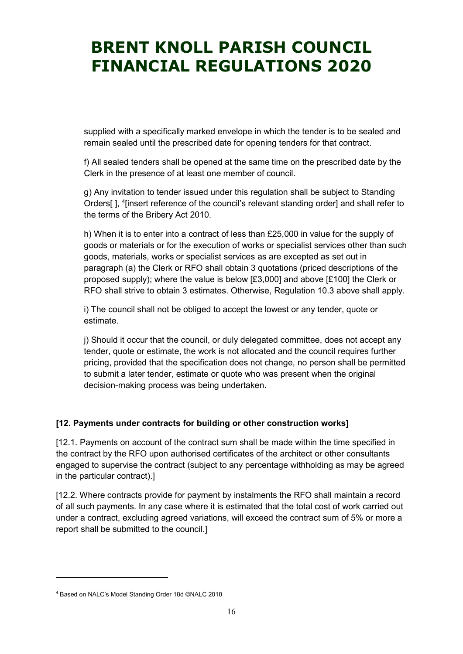supplied with a specifically marked envelope in which the tender is to be sealed and remain sealed until the prescribed date for opening tenders for that contract.

f) All sealed tenders shall be opened at the same time on the prescribed date by the Clerk in the presence of at least one member of council.

g) Any invitation to tender issued under this regulation shall be subject to Standing Orders[], <sup>4</sup>[insert reference of the council's relevant standing order] and shall refer to the terms of the Bribery Act 2010.

h) When it is to enter into a contract of less than £25,000 in value for the supply of goods or materials or for the execution of works or specialist services other than such goods, materials, works or specialist services as are excepted as set out in paragraph (a) the Clerk or RFO shall obtain 3 quotations (priced descriptions of the proposed supply); where the value is below [£3,000] and above [£100] the Clerk or RFO shall strive to obtain 3 estimates. Otherwise, Regulation 10.3 above shall apply.

i) The council shall not be obliged to accept the lowest or any tender, quote or estimate.

j) Should it occur that the council, or duly delegated committee, does not accept any tender, quote or estimate, the work is not allocated and the council requires further pricing, provided that the specification does not change, no person shall be permitted to submit a later tender, estimate or quote who was present when the original decision-making process was being undertaken.

#### [12. Payments under contracts for building or other construction works]

[12.1. Payments on account of the contract sum shall be made within the time specified in the contract by the RFO upon authorised certificates of the architect or other consultants engaged to supervise the contract (subject to any percentage withholding as may be agreed in the particular contract).]

[12.2. Where contracts provide for payment by instalments the RFO shall maintain a record of all such payments. In any case where it is estimated that the total cost of work carried out under a contract, excluding agreed variations, will exceed the contract sum of 5% or more a report shall be submitted to the council.]

-

<sup>4</sup> Based on NALC's Model Standing Order 18d ©NALC 2018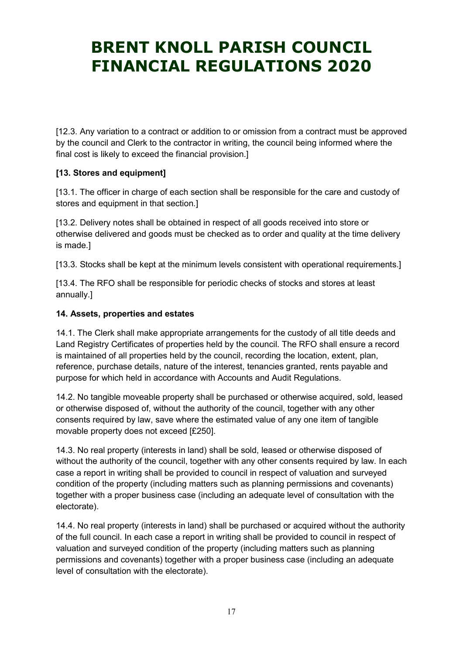[12.3. Any variation to a contract or addition to or omission from a contract must be approved by the council and Clerk to the contractor in writing, the council being informed where the final cost is likely to exceed the financial provision.]

### [13. Stores and equipment]

[13.1. The officer in charge of each section shall be responsible for the care and custody of stores and equipment in that section.]

[13.2. Delivery notes shall be obtained in respect of all goods received into store or otherwise delivered and goods must be checked as to order and quality at the time delivery is made.]

[13.3. Stocks shall be kept at the minimum levels consistent with operational requirements.]

[13.4. The RFO shall be responsible for periodic checks of stocks and stores at least annually.]

#### 14. Assets, properties and estates

14.1. The Clerk shall make appropriate arrangements for the custody of all title deeds and Land Registry Certificates of properties held by the council. The RFO shall ensure a record is maintained of all properties held by the council, recording the location, extent, plan, reference, purchase details, nature of the interest, tenancies granted, rents payable and purpose for which held in accordance with Accounts and Audit Regulations.

14.2. No tangible moveable property shall be purchased or otherwise acquired, sold, leased or otherwise disposed of, without the authority of the council, together with any other consents required by law, save where the estimated value of any one item of tangible movable property does not exceed [£250].

14.3. No real property (interests in land) shall be sold, leased or otherwise disposed of without the authority of the council, together with any other consents required by law. In each case a report in writing shall be provided to council in respect of valuation and surveyed condition of the property (including matters such as planning permissions and covenants) together with a proper business case (including an adequate level of consultation with the electorate).

14.4. No real property (interests in land) shall be purchased or acquired without the authority of the full council. In each case a report in writing shall be provided to council in respect of valuation and surveyed condition of the property (including matters such as planning permissions and covenants) together with a proper business case (including an adequate level of consultation with the electorate).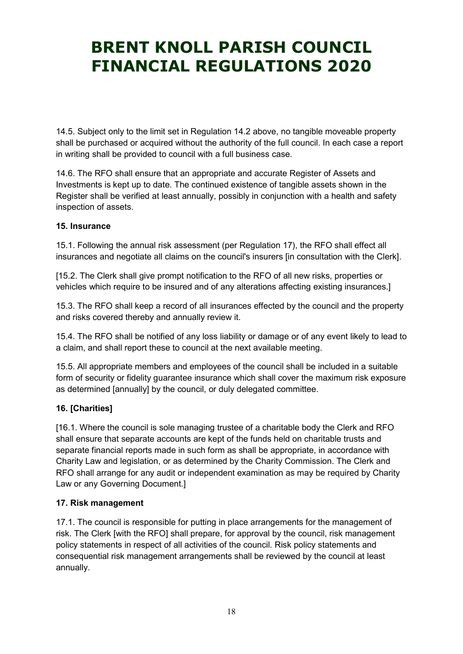14.5. Subject only to the limit set in Regulation 14.2 above, no tangible moveable property shall be purchased or acquired without the authority of the full council. In each case a report in writing shall be provided to council with a full business case.

14.6. The RFO shall ensure that an appropriate and accurate Register of Assets and Investments is kept up to date. The continued existence of tangible assets shown in the Register shall be verified at least annually, possibly in conjunction with a health and safety inspection of assets.

#### 15. Insurance

15.1. Following the annual risk assessment (per Regulation 17), the RFO shall effect all insurances and negotiate all claims on the council's insurers [in consultation with the Clerk].

[15.2. The Clerk shall give prompt notification to the RFO of all new risks, properties or vehicles which require to be insured and of any alterations affecting existing insurances.]

15.3. The RFO shall keep a record of all insurances effected by the council and the property and risks covered thereby and annually review it.

15.4. The RFO shall be notified of any loss liability or damage or of any event likely to lead to a claim, and shall report these to council at the next available meeting.

15.5. All appropriate members and employees of the council shall be included in a suitable form of security or fidelity guarantee insurance which shall cover the maximum risk exposure as determined [annually] by the council, or duly delegated committee.

#### 16. [Charities]

[16.1. Where the council is sole managing trustee of a charitable body the Clerk and RFO shall ensure that separate accounts are kept of the funds held on charitable trusts and separate financial reports made in such form as shall be appropriate, in accordance with Charity Law and legislation, or as determined by the Charity Commission. The Clerk and RFO shall arrange for any audit or independent examination as may be required by Charity Law or any Governing Document.]

#### 17. Risk management

17.1. The council is responsible for putting in place arrangements for the management of risk. The Clerk [with the RFO] shall prepare, for approval by the council, risk management policy statements in respect of all activities of the council. Risk policy statements and consequential risk management arrangements shall be reviewed by the council at least annually.